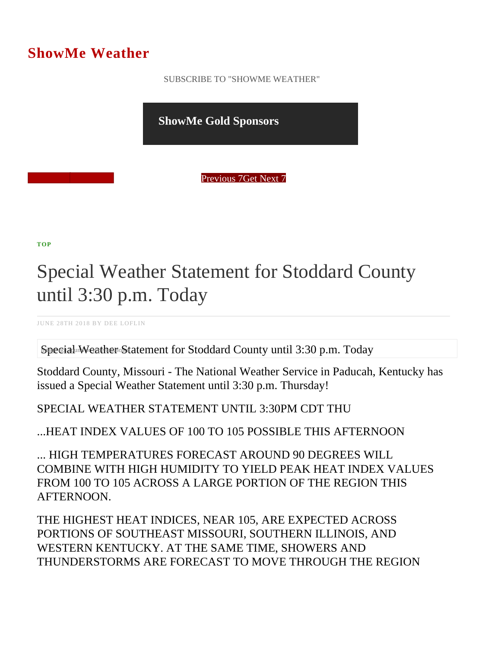## ShowMe Weather

 [SUBSCRIBE TO "SHOWME WEATHER"](/blog_rss.php)

ShowMe Gold Sponsors

Previous Get Next 7

[TOP](/var/www/showmetimes.com/root/javascript:blogScrollToTop()

## Special Weather Statement for Stoddard County until 3:30 p.m. Today

JUNE 28TH 2018 BY DEE LOFLIN

Special Weather Statement for Stoddard County until 3:30 p.m. Today

Stoddard County, Missouri - The National Weather Service in Paducah, Kentucky has issued a Special Weather Statement until 3:30 p.m. Thursday!

SPECIAL WEATHER STATEMENT UNTIL 3:30PM CDT THU

...HEAT INDEX VALUES OF 100 TO 105 POSSIBLE THIS AFTERNOON

... HIGH TEMPERATURES FORECAST AROUND 90 DEGREES WILL COMBINE WITH HIGH HUMIDITY TO YIELD PEAK HEAT INDEX VALUES FROM 100 TO 105 ACROSS A LARGE PORTION OF THE REGION THIS AFTERNOON.

THE HIGHEST HEAT INDICES, NEAR 105, ARE EXPECTED ACROSS PORTIONS OF SOUTHEAST MISSOURI, SOUTHERN ILLINOIS, AND WESTERN KENTUCKY. AT THE SAME TIME, SHOWERS AND THUNDERSTORMS ARE FORECAST TO MOVE THROUGH THE REGION